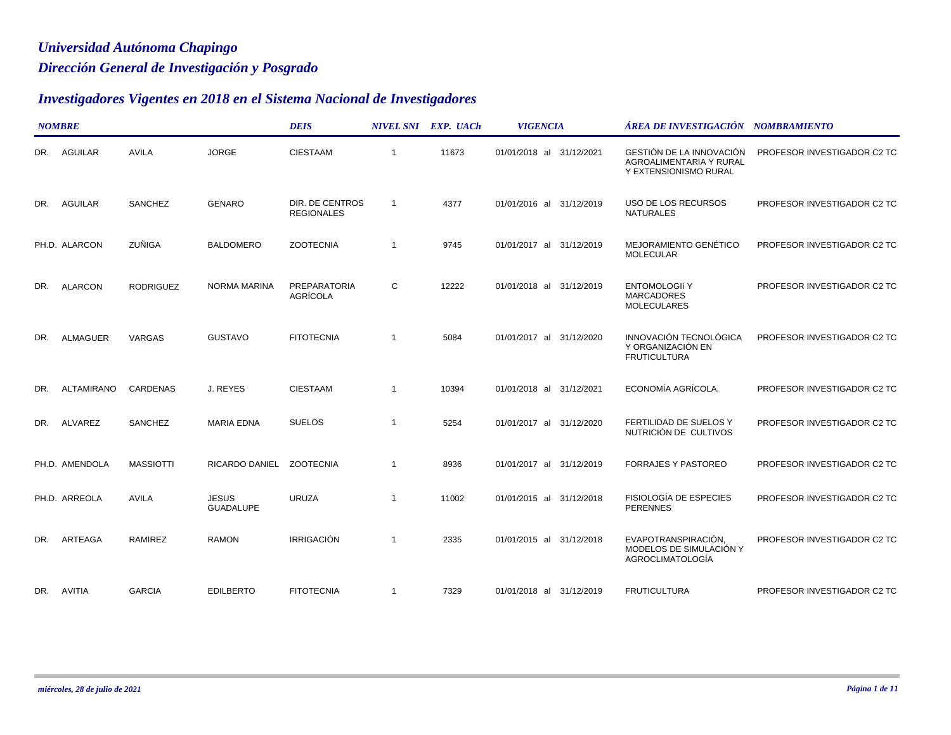## *Dirección General de Investigación y Posgrado Universidad Autónoma Chapingo*

## *Investigadores Vigentes en 2018 en el Sistema Nacional de Investigadores*

|     | <b>NOMBRE</b>   |                  |                                  | <b>DEIS</b>                   |                | NIVEL SNI EXP. UACh | <b>VIGENCIA</b>          | ÁREA DE INVESTIGACIÓN NOMBRAMIENTO                                           |                             |  |
|-----|-----------------|------------------|----------------------------------|-------------------------------|----------------|---------------------|--------------------------|------------------------------------------------------------------------------|-----------------------------|--|
|     | DR. AGUILAR     | <b>AVILA</b>     | <b>JORGE</b>                     | <b>CIESTAAM</b>               | $\overline{1}$ | 11673               | 01/01/2018 al 31/12/2021 | GESTIÓN DE LA INNOVACIÓN<br>AGROALIMENTARIA Y RURAL<br>Y EXTENSIONISMO RURAL | PROFESOR INVESTIGADOR C2 TC |  |
|     | DR. AGUILAR     | SANCHEZ          | <b>GENARO</b>                    | DIR. DE CENTROS<br>REGIONALES | $\overline{1}$ | 4377                | 01/01/2016 al 31/12/2019 | USO DE LOS RECURSOS<br><b>NATURALES</b>                                      | PROFESOR INVESTIGADOR C2 TC |  |
|     | PH.D. ALARCON   | ZUÑIGA           | <b>BALDOMERO</b>                 | <b>ZOOTECNIA</b>              | $\overline{1}$ | 9745                | 01/01/2017 al 31/12/2019 | MEJORAMIENTO GENÉTICO<br><b>MOLECULAR</b>                                    | PROFESOR INVESTIGADOR C2 TC |  |
| DR. | <b>ALARCON</b>  | <b>RODRIGUEZ</b> | <b>NORMA MARINA</b>              | PREPARATORIA<br>AGRÍCOLA      | С              | 12222               | 01/01/2018 al 31/12/2019 | <b>ENTOMOLOGIÍ Y</b><br><b>MARCADORES</b><br><b>MOLECULARES</b>              | PROFESOR INVESTIGADOR C2 TC |  |
| DR. | <b>ALMAGUER</b> | VARGAS           | <b>GUSTAVO</b>                   | <b>FITOTECNIA</b>             | $\overline{1}$ | 5084                | 01/01/2017 al 31/12/2020 | <b>INNOVACIÓN TECNOLÓGICA</b><br>Y ORGANIZACIÓN EN<br><b>FRUTICULTURA</b>    | PROFESOR INVESTIGADOR C2 TC |  |
| DR. | ALTAMIRANO      | CARDENAS         | J. REYES                         | <b>CIESTAAM</b>               | -1             | 10394               | 01/01/2018 al 31/12/2021 | ECONOMÍA AGRÍCOLA.                                                           | PROFESOR INVESTIGADOR C2 TC |  |
| DR. | ALVAREZ         | SANCHEZ          | <b>MARIA EDNA</b>                | <b>SUELOS</b>                 | $\overline{1}$ | 5254                | 01/01/2017 al 31/12/2020 | FERTILIDAD DE SUELOS Y<br>NUTRICIÓN DE CULTIVOS                              | PROFESOR INVESTIGADOR C2 TC |  |
|     | PH.D. AMENDOLA  | <b>MASSIOTTI</b> | RICARDO DANIEL ZOOTECNIA         |                               | $\overline{1}$ | 8936                | 01/01/2017 al 31/12/2019 | <b>FORRAJES Y PASTOREO</b>                                                   | PROFESOR INVESTIGADOR C2 TC |  |
|     | PH.D. ARREOLA   | AVILA            | <b>JESUS</b><br><b>GUADALUPE</b> | <b>URUZA</b>                  | -1             | 11002               | 01/01/2015 al 31/12/2018 | FISIOLOGÍA DE ESPECIES<br><b>PERENNES</b>                                    | PROFESOR INVESTIGADOR C2 TC |  |
| DR. | ARTEAGA         | RAMIREZ          | <b>RAMON</b>                     | <b>IRRIGACIÓN</b>             | -1             | 2335                | 01/01/2015 al 31/12/2018 | EVAPOTRANSPIRACIÓN,<br>MODELOS DE SIMULACIÓN Y<br>AGROCLIMATOLOGÍA           | PROFESOR INVESTIGADOR C2 TC |  |
|     | DR. AVITIA      | <b>GARCIA</b>    | <b>EDILBERTO</b>                 | <b>FITOTECNIA</b>             | $\overline{1}$ | 7329                | 01/01/2018 al 31/12/2019 | <b>FRUTICULTURA</b>                                                          | PROFESOR INVESTIGADOR C2 TC |  |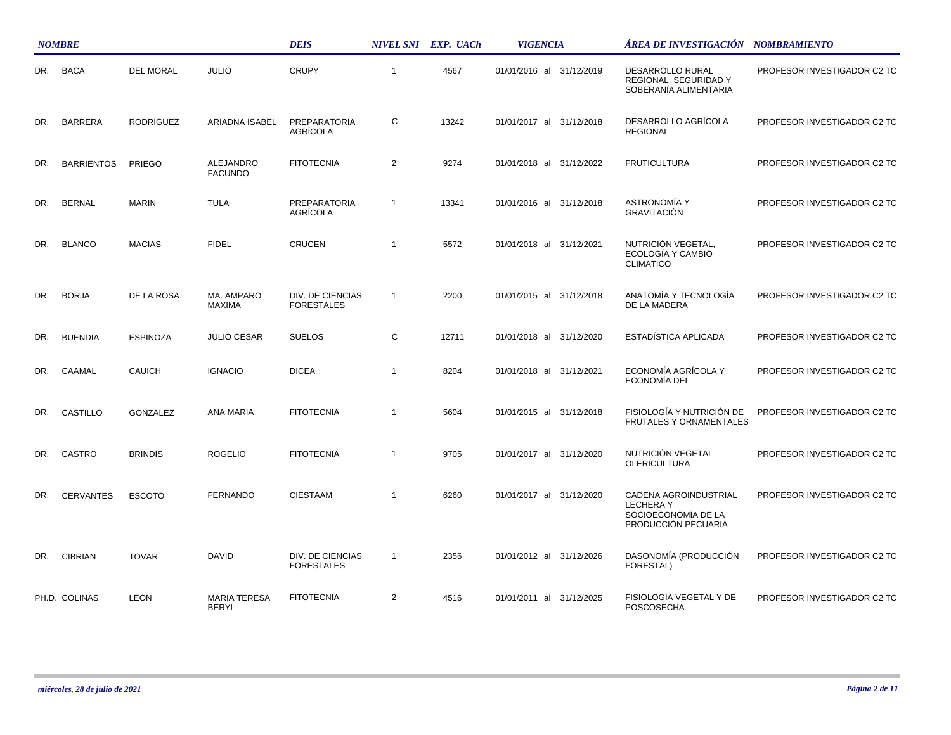|     | <b>NOMBRE</b>     |                  |                                     | <b>DEIS</b>                                  |                | NIVEL SNI EXP. UACh | <b>VIGENCIA</b>             | ÁREA DE INVESTIGACIÓN NOMBRAMIENTO                                                     |                             |
|-----|-------------------|------------------|-------------------------------------|----------------------------------------------|----------------|---------------------|-----------------------------|----------------------------------------------------------------------------------------|-----------------------------|
| DR. | <b>BACA</b>       | <b>DEL MORAL</b> | <b>JULIO</b>                        | <b>CRUPY</b>                                 | $\overline{1}$ | 4567                | 01/01/2016 al 31/12/2019    | DESARROLLO RURAL<br>REGIONAL, SEGURIDAD Y<br>SOBERANÍA ALIMENTARIA                     | PROFESOR INVESTIGADOR C2 TC |
| DR. | <b>BARRERA</b>    | <b>RODRIGUEZ</b> | ARIADNA ISABEL                      | <b>PREPARATORIA</b><br>AGRÍCOLA              | С              | 13242               | 01/01/2017 al<br>31/12/2018 | DESARROLLO AGRÍCOLA<br><b>REGIONAL</b>                                                 | PROFESOR INVESTIGADOR C2 TC |
| DR. | <b>BARRIENTOS</b> | <b>PRIEGO</b>    | ALEJANDRO<br><b>FACUNDO</b>         | <b>FITOTECNIA</b>                            | $\overline{2}$ | 9274                | 01/01/2018 al 31/12/2022    | <b>FRUTICULTURA</b>                                                                    | PROFESOR INVESTIGADOR C2 TC |
| DR. | <b>BERNAL</b>     | <b>MARIN</b>     | <b>TULA</b>                         | PREPARATORIA<br>AGRÍCOLA                     | $\overline{1}$ | 13341               | 01/01/2016 al 31/12/2018    | <b>ASTRONOMÍA Y</b><br><b>GRAVITACIÓN</b>                                              | PROFESOR INVESTIGADOR C2 TC |
| DR. | <b>BLANCO</b>     | <b>MACIAS</b>    | <b>FIDEL</b>                        | CRUCEN                                       | $\overline{1}$ | 5572                | 01/01/2018 al<br>31/12/2021 | NUTRICIÓN VEGETAL,<br>ECOLOGÍA Y CAMBIO<br><b>CLIMATICO</b>                            | PROFESOR INVESTIGADOR C2 TC |
| DR. | <b>BORJA</b>      | DE LA ROSA       | MA. AMPARO<br><b>MAXIMA</b>         | <b>DIV. DE CIENCIAS</b><br><b>FORESTALES</b> | $\overline{1}$ | 2200                | 01/01/2015 al 31/12/2018    | ANATOMÍA Y TECNOLOGÍA<br>DE LA MADERA                                                  | PROFESOR INVESTIGADOR C2 TC |
| DR. | <b>BUENDIA</b>    | <b>ESPINOZA</b>  | <b>JULIO CESAR</b>                  | <b>SUELOS</b>                                | $\mathsf{C}$   | 12711               | 01/01/2018 al 31/12/2020    | ESTADÍSTICA APLICADA                                                                   | PROFESOR INVESTIGADOR C2 TC |
| DR. | CAAMAL            | <b>CAUICH</b>    | <b>IGNACIO</b>                      | <b>DICEA</b>                                 | $\overline{1}$ | 8204                | 01/01/2018 al 31/12/2021    | ECONOMÍA AGRÍCOLA Y<br>ECONOMÍA DEL                                                    | PROFESOR INVESTIGADOR C2 TC |
| DR. | CASTILLO          | <b>GONZALEZ</b>  | ANA MARIA                           | <b>FITOTECNIA</b>                            | $\overline{1}$ | 5604                | 01/01/2015 al 31/12/2018    | FISIOLOGÍA Y NUTRICIÓN DE<br>FRUTALES Y ORNAMENTALES                                   | PROFESOR INVESTIGADOR C2 TC |
| DR. | CASTRO            | <b>BRINDIS</b>   | <b>ROGELIO</b>                      | <b>FITOTECNIA</b>                            | $\overline{1}$ | 9705                | 01/01/2017 al<br>31/12/2020 | NUTRICIÓN VEGETAL-<br><b>OLERICULTURA</b>                                              | PROFESOR INVESTIGADOR C2 TC |
| DR. | <b>CERVANTES</b>  | <b>ESCOTO</b>    | <b>FERNANDO</b>                     | <b>CIESTAAM</b>                              | $\overline{1}$ | 6260                | 01/01/2017 al 31/12/2020    | CADENA AGROINDUSTRIAL<br><b>LECHERAY</b><br>SOCIOECONOMÍA DE LA<br>PRODUCCIÓN PECUARIA | PROFESOR INVESTIGADOR C2 TC |
| DR. | <b>CIBRIAN</b>    | <b>TOVAR</b>     | DAVID                               | DIV. DE CIENCIAS<br><b>FORESTALES</b>        | -1             | 2356                | 01/01/2012 al 31/12/2026    | DASONOMÍA (PRODUCCIÓN<br>FORESTAL)                                                     | PROFESOR INVESTIGADOR C2 TC |
|     | PH.D. COLINAS     | <b>LEON</b>      | <b>MARIA TERESA</b><br><b>BERYL</b> | <b>FITOTECNIA</b>                            | $\overline{2}$ | 4516                | 01/01/2011 al 31/12/2025    | FISIOLOGIA VEGETAL Y DE<br>POSCOSECHA                                                  | PROFESOR INVESTIGADOR C2 TC |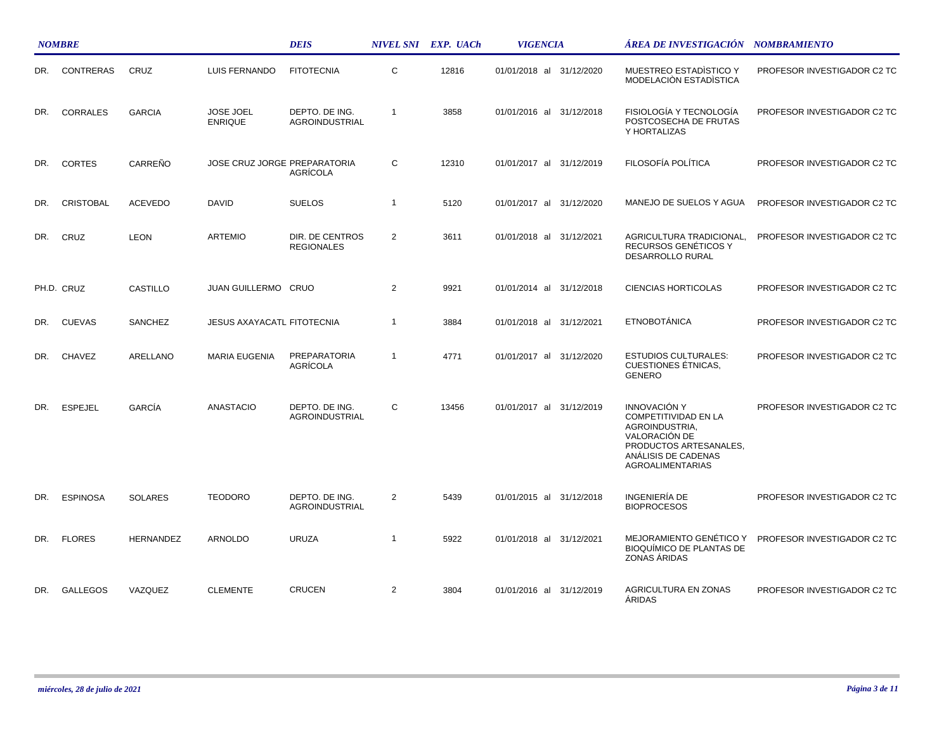|     | <b>NOMBRE</b>    |                  |                                    | <b>DEIS</b>                             |                | NIVEL SNI EXP. UACh | <b>VIGENCIA</b>             | ÁREA DE INVESTIGACIÓN NOMBRAMIENTO                                                                                                                                |                             |
|-----|------------------|------------------|------------------------------------|-----------------------------------------|----------------|---------------------|-----------------------------|-------------------------------------------------------------------------------------------------------------------------------------------------------------------|-----------------------------|
| DR. | <b>CONTRERAS</b> | CRUZ             | <b>LUIS FERNANDO</b>               | <b>FITOTECNIA</b>                       | C              | 12816               | 01/01/2018 al 31/12/2020    | MUESTREO ESTADISTICO Y<br>MODELACIÓN ESTADÍSTICA                                                                                                                  | PROFESOR INVESTIGADOR C2 TC |
| DR. | CORRALES         | <b>GARCIA</b>    | <b>JOSE JOEL</b><br><b>ENRIQUE</b> | DEPTO. DE ING.<br><b>AGROINDUSTRIAL</b> | $\overline{1}$ | 3858                | 01/01/2016 al 31/12/2018    | FISIOLOGÍA Y TECNOLOGÍA<br>POSTCOSECHA DE FRUTAS<br>Y HORTALIZAS                                                                                                  | PROFESOR INVESTIGADOR C2 TC |
| DR. | <b>CORTES</b>    | CARREÑO          | JOSE CRUZ JORGE PREPARATORIA       | AGRÍCOLA                                | C              | 12310               | 01/01/2017 al<br>31/12/2019 | FILOSOFÍA POLÍTICA                                                                                                                                                | PROFESOR INVESTIGADOR C2 TC |
| DR. | <b>CRISTOBAL</b> | <b>ACEVEDO</b>   | DAVID                              | <b>SUELOS</b>                           | $\overline{1}$ | 5120                | 01/01/2017 al 31/12/2020    | MANEJO DE SUELOS Y AGUA                                                                                                                                           | PROFESOR INVESTIGADOR C2 TC |
| DR. | CRUZ             | <b>LEON</b>      | <b>ARTEMIO</b>                     | DIR. DE CENTROS<br><b>REGIONALES</b>    | $\overline{2}$ | 3611                | 01/01/2018 al 31/12/2021    | AGRICULTURA TRADICIONAL,<br>RECURSOS GENÉTICOS Y<br>DESARROLLO RURAL                                                                                              | PROFESOR INVESTIGADOR C2 TC |
|     | PH.D. CRUZ       | CASTILLO         | JUAN GUILLERMO CRUO                |                                         | $\overline{2}$ | 9921                | 01/01/2014 al 31/12/2018    | <b>CIENCIAS HORTICOLAS</b>                                                                                                                                        | PROFESOR INVESTIGADOR C2 TC |
| DR. | <b>CUEVAS</b>    | <b>SANCHEZ</b>   | <b>JESUS AXAYACATL FITOTECNIA</b>  |                                         | $\overline{1}$ | 3884                | 01/01/2018 al 31/12/2021    | <b>ETNOBOTÁNICA</b>                                                                                                                                               | PROFESOR INVESTIGADOR C2 TC |
| DR. | <b>CHAVEZ</b>    | ARELLANO         | <b>MARIA EUGENIA</b>               | <b>PREPARATORIA</b><br>AGRÍCOLA         | $\overline{1}$ | 4771                | 01/01/2017 al 31/12/2020    | <b>ESTUDIOS CULTURALES:</b><br><b>CUESTIONES ÉTNICAS,</b><br><b>GENERO</b>                                                                                        | PROFESOR INVESTIGADOR C2 TC |
| DR. | <b>ESPEJEL</b>   | GARCÍA           | <b>ANASTACIO</b>                   | DEPTO. DE ING.<br><b>AGROINDUSTRIAL</b> | C              | 13456               | 01/01/2017 al 31/12/2019    | <b>INNOVACIÓN Y</b><br><b>COMPETITIVIDAD EN LA</b><br>AGROINDUSTRIA,<br>VALORACIÓN DE<br>PRODUCTOS ARTESANALES,<br>ANÁLISIS DE CADENAS<br><b>AGROALIMENTARIAS</b> | PROFESOR INVESTIGADOR C2 TC |
| DR. | <b>ESPINOSA</b>  | <b>SOLARES</b>   | <b>TEODORO</b>                     | DEPTO. DE ING.<br>AGROINDUSTRIAL        | $\overline{2}$ | 5439                | 01/01/2015 al 31/12/2018    | INGENIERÍA DE<br><b>BIOPROCESOS</b>                                                                                                                               | PROFESOR INVESTIGADOR C2 TC |
| DR. | <b>FLORES</b>    | <b>HERNANDEZ</b> | ARNOLDO                            | <b>URUZA</b>                            | $\overline{1}$ | 5922                | 01/01/2018 al 31/12/2021    | MEJORAMIENTO GENÉTICO Y<br><b>BIOQUÍMICO DE PLANTAS DE</b><br>ZONAS ÁRIDAS                                                                                        | PROFESOR INVESTIGADOR C2 TC |
| DR. | <b>GALLEGOS</b>  | VAZQUEZ          | <b>CLEMENTE</b>                    | <b>CRUCEN</b>                           | $\overline{2}$ | 3804                | 01/01/2016 al 31/12/2019    | <b>AGRICULTURA EN ZONAS</b><br><b>ÁRIDAS</b>                                                                                                                      | PROFESOR INVESTIGADOR C2 TC |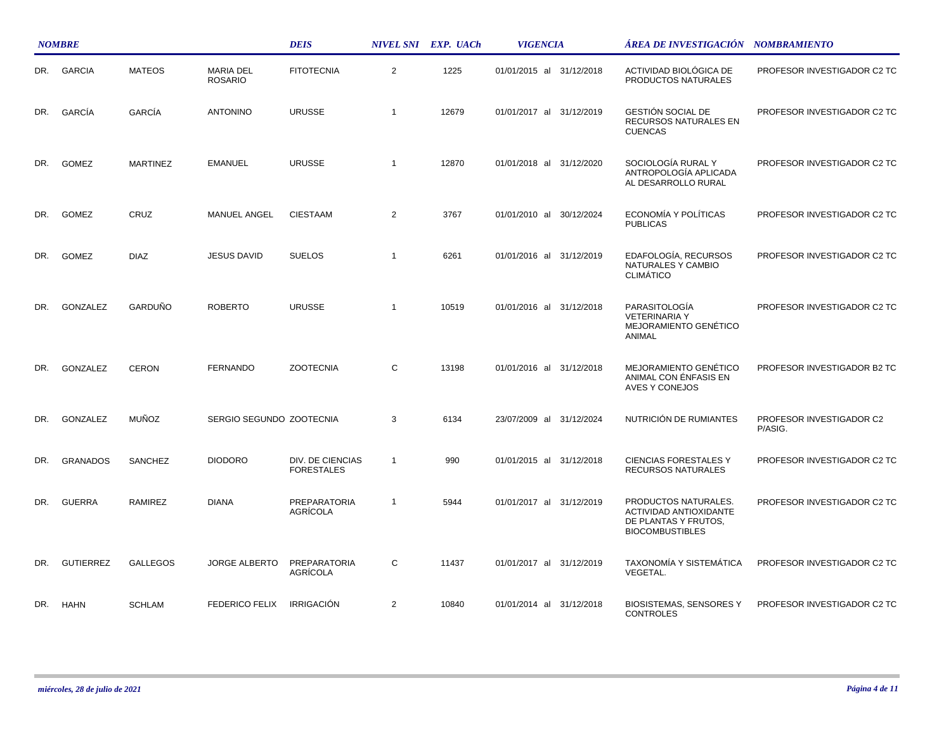|     | <b>NOMBRE</b>    |                 |                                    | <b>DEIS</b>                           |                | NIVEL SNI EXP. UACh | <b>VIGENCIA</b>          | ÁREA DE INVESTIGACIÓN - NOMBRAMIENTO                                                             |                                     |
|-----|------------------|-----------------|------------------------------------|---------------------------------------|----------------|---------------------|--------------------------|--------------------------------------------------------------------------------------------------|-------------------------------------|
| DR. | <b>GARCIA</b>    | <b>MATEOS</b>   | <b>MARIA DEL</b><br><b>ROSARIO</b> | <b>FITOTECNIA</b>                     | $\overline{2}$ | 1225                | 01/01/2015 al 31/12/2018 | ACTIVIDAD BIOLÓGICA DE<br>PRODUCTOS NATURALES                                                    | PROFESOR INVESTIGADOR C2 TC         |
| DR. | <b>GARCÍA</b>    | GARCÍA          | <b>ANTONINO</b>                    | <b>URUSSE</b>                         | $\overline{1}$ | 12679               | 01/01/2017 al 31/12/2019 | <b>GESTIÓN SOCIAL DE</b><br>RECURSOS NATURALES EN<br><b>CUENCAS</b>                              | PROFESOR INVESTIGADOR C2 TC         |
| DR. | <b>GOMEZ</b>     | <b>MARTINEZ</b> | <b>EMANUEL</b>                     | <b>URUSSE</b>                         | $\overline{1}$ | 12870               | 01/01/2018 al 31/12/2020 | SOCIOLOGÍA RURAL Y<br>ANTROPOLOGÍA APLICADA<br>AL DESARROLLO RURAL                               | PROFESOR INVESTIGADOR C2 TC         |
| DR. | <b>GOMEZ</b>     | CRUZ            | <b>MANUEL ANGEL</b>                | <b>CIESTAAM</b>                       | $\overline{2}$ | 3767                | 01/01/2010 al 30/12/2024 | ECONOMÍA Y POLÍTICAS<br><b>PUBLICAS</b>                                                          | PROFESOR INVESTIGADOR C2 TC         |
| DR. | <b>GOMEZ</b>     | <b>DIAZ</b>     | <b>JESUS DAVID</b>                 | <b>SUELOS</b>                         | $\overline{1}$ | 6261                | 01/01/2016 al 31/12/2019 | EDAFOLOGÍA, RECURSOS<br>NATURALES Y CAMBIO<br><b>CLIMÁTICO</b>                                   | PROFESOR INVESTIGADOR C2 TC         |
| DR. | GONZALEZ         | GARDUÑO         | <b>ROBERTO</b>                     | <b>URUSSE</b>                         | $\overline{1}$ | 10519               | 01/01/2016 al 31/12/2018 | PARASITOLOGÍA<br><b>VETERINARIA Y</b><br>MEJORAMIENTO GENÉTICO<br>ANIMAL                         | PROFESOR INVESTIGADOR C2 TC         |
| DR. | GONZALEZ         | <b>CERON</b>    | <b>FERNANDO</b>                    | <b>ZOOTECNIA</b>                      | C              | 13198               | 01/01/2016 al 31/12/2018 | MEJORAMIENTO GENÉTICO<br>ANIMAL CON ENFASIS EN<br>AVES Y CONEJOS                                 | PROFESOR INVESTIGADOR B2 TC         |
| DR. | GONZALEZ         | <b>MUÑOZ</b>    | SERGIO SEGUNDO ZOOTECNIA           |                                       | 3              | 6134                | 23/07/2009 al 31/12/2024 | NUTRICIÓN DE RUMIANTES                                                                           | PROFESOR INVESTIGADOR C2<br>P/ASIG. |
| DR. | <b>GRANADOS</b>  | <b>SANCHEZ</b>  | <b>DIODORO</b>                     | DIV. DE CIENCIAS<br><b>FORESTALES</b> | $\overline{1}$ | 990                 | 01/01/2015 al 31/12/2018 | <b>CIENCIAS FORESTALES Y</b><br>RECURSOS NATURALES                                               | PROFESOR INVESTIGADOR C2 TC         |
| DR. | <b>GUERRA</b>    | <b>RAMIREZ</b>  | <b>DIANA</b>                       | <b>PREPARATORIA</b><br>AGRÍCOLA       | $\overline{1}$ | 5944                | 01/01/2017 al 31/12/2019 | PRODUCTOS NATURALES.<br>ACTIVIDAD ANTIOXIDANTE<br>DE PLANTAS Y FRUTOS,<br><b>BIOCOMBUSTIBLES</b> | PROFESOR INVESTIGADOR C2 TC         |
| DR. | <b>GUTIERREZ</b> | <b>GALLEGOS</b> | <b>JORGE ALBERTO</b>               | PREPARATORIA<br>AGRÍCOLA              | С              | 11437               | 01/01/2017 al 31/12/2019 | TAXONOMÍA Y SISTEMÁTICA<br>VEGETAL.                                                              | PROFESOR INVESTIGADOR C2 TC         |
| DR. | HAHN             | <b>SCHLAM</b>   | <b>FEDERICO FELIX</b>              | <b>IRRIGACIÓN</b>                     | $\overline{2}$ | 10840               | 01/01/2014 al 31/12/2018 | <b>BIOSISTEMAS, SENSORES Y</b><br><b>CONTROLES</b>                                               | PROFESOR INVESTIGADOR C2 TC         |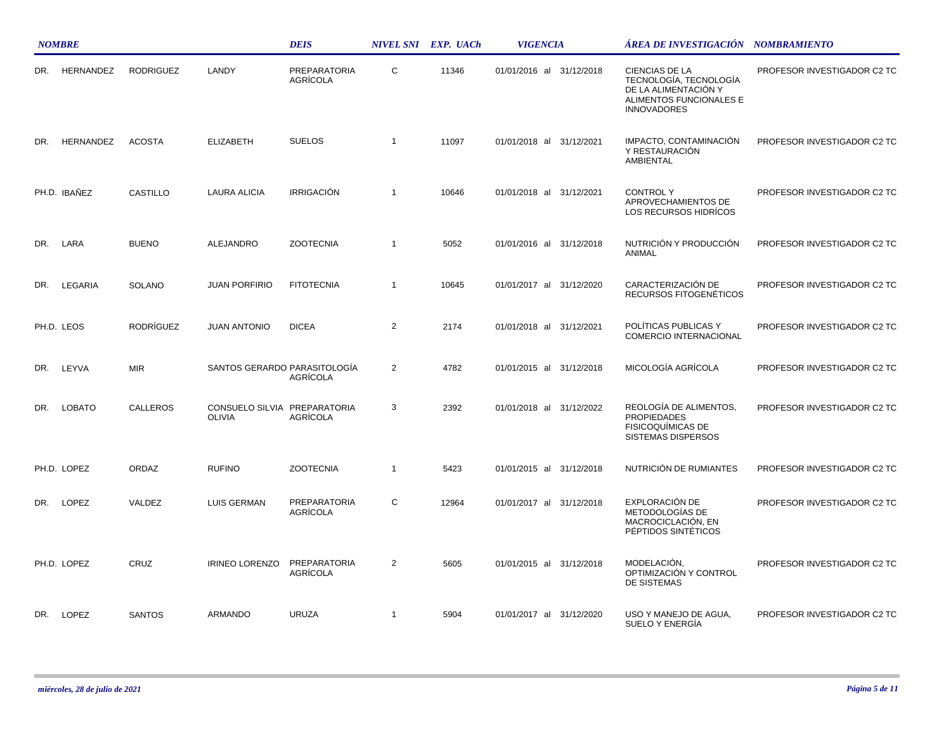|     | <b>NOMBRE</b> |                  |                                               | <b>DEIS</b>                              |                | NIVEL SNI EXP. UACh | <b>VIGENCIA</b>             | ÁREA DE INVESTIGACIÓN NOMBRAMIENTO                                                                                       |                             |  |
|-----|---------------|------------------|-----------------------------------------------|------------------------------------------|----------------|---------------------|-----------------------------|--------------------------------------------------------------------------------------------------------------------------|-----------------------------|--|
| DR. | HERNANDEZ     | <b>RODRIGUEZ</b> | LANDY                                         | <b>PREPARATORIA</b><br>AGRÍCOLA          | C              | 11346               | 01/01/2016 al 31/12/2018    | <b>CIENCIAS DE LA</b><br>TECNOLOGÍA, TECNOLOGÍA<br>DE LA ALIMENTACIÓN Y<br>ALIMENTOS FUNCIONALES E<br><b>INNOVADORES</b> | PROFESOR INVESTIGADOR C2 TC |  |
| DR. | HERNANDEZ     | <b>ACOSTA</b>    | <b>ELIZABETH</b>                              | <b>SUELOS</b>                            | $\overline{1}$ | 11097               | 01/01/2018 al 31/12/2021    | IMPACTO, CONTAMINACIÓN<br>Y RESTAURACIÓN<br>AMBIENTAL                                                                    | PROFESOR INVESTIGADOR C2 TC |  |
|     | PH.D. IBAÑEZ  | <b>CASTILLO</b>  | LAURA ALICIA                                  | <b>IRRIGACIÓN</b>                        | $\mathbf{1}$   | 10646               | 01/01/2018 al 31/12/2021    | <b>CONTROLY</b><br>APROVECHAMIENTOS DE<br>LOS RECURSOS HIDRÍCOS                                                          | PROFESOR INVESTIGADOR C2 TC |  |
| DR. | LARA          | <b>BUENO</b>     | ALEJANDRO                                     | <b>ZOOTECNIA</b>                         | $\mathbf{1}$   | 5052                | 01/01/2016 al 31/12/2018    | NUTRICIÓN Y PRODUCCIÓN<br>ANIMAL                                                                                         | PROFESOR INVESTIGADOR C2 TC |  |
| DR. | LEGARIA       | <b>SOLANO</b>    | <b>JUAN PORFIRIO</b>                          | <b>FITOTECNIA</b>                        | $\overline{1}$ | 10645               | 01/01/2017 al 31/12/2020    | CARACTERIZACIÓN DE<br>RECURSOS FITOGENÉTICOS                                                                             | PROFESOR INVESTIGADOR C2 TC |  |
|     | PH.D. LEOS    | <b>RODRÍGUEZ</b> | <b>JUAN ANTONIO</b>                           | <b>DICEA</b>                             | 2              | 2174                | 01/01/2018 al 31/12/2021    | POLÍTICAS PUBLICAS Y<br>COMERCIO INTERNACIONAL                                                                           | PROFESOR INVESTIGADOR C2 TC |  |
| DR. | LEYVA         | <b>MIR</b>       |                                               | SANTOS GERARDO PARASITOLOGÍA<br>AGRÍCOLA | 2              | 4782                | 01/01/2015 al 31/12/2018    | MICOLOGÍA AGRÍCOLA                                                                                                       | PROFESOR INVESTIGADOR C2 TC |  |
| DR. | <b>LOBATO</b> | <b>CALLEROS</b>  | CONSUELO SILVIA PREPARATORIA<br><b>OLIVIA</b> | AGRÍCOLA                                 | 3              | 2392                | 01/01/2018 al<br>31/12/2022 | REOLOGÍA DE ALIMENTOS.<br><b>PROPIEDADES</b><br><b>FISICOQUÍMICAS DE</b><br><b>SISTEMAS DISPERSOS</b>                    | PROFESOR INVESTIGADOR C2 TC |  |
|     | PH.D. LOPEZ   | ORDAZ            | <b>RUFINO</b>                                 | <b>ZOOTECNIA</b>                         | $\mathbf{1}$   | 5423                | 01/01/2015 al 31/12/2018    | NUTRICIÓN DE RUMIANTES                                                                                                   | PROFESOR INVESTIGADOR C2 TC |  |
| DR. | LOPEZ         | VALDEZ           | <b>LUIS GERMAN</b>                            | <b>PREPARATORIA</b><br>AGRÍCOLA          | C              | 12964               | 01/01/2017 al 31/12/2018    | EXPLORACIÓN DE<br>METODOLOGÍAS DE<br>MACROCICLACIÓN, EN<br>PÉPTIDOS SINTÉTICOS                                           | PROFESOR INVESTIGADOR C2 TC |  |
|     | PH.D. LOPEZ   | CRUZ             | <b>IRINEO LORENZO</b>                         | PREPARATORIA<br>AGRÍCOLA                 | $\overline{2}$ | 5605                | 01/01/2015 al 31/12/2018    | MODELACIÓN,<br>OPTIMIZACIÓN Y CONTROL<br>DE SISTEMAS                                                                     | PROFESOR INVESTIGADOR C2 TC |  |
| DR. | LOPEZ         | <b>SANTOS</b>    | ARMANDO                                       | <b>URUZA</b>                             | $\mathbf{1}$   | 5904                | 01/01/2017 al 31/12/2020    | USO Y MANEJO DE AGUA,<br>SUELO Y ENERGÍA                                                                                 | PROFESOR INVESTIGADOR C2 TC |  |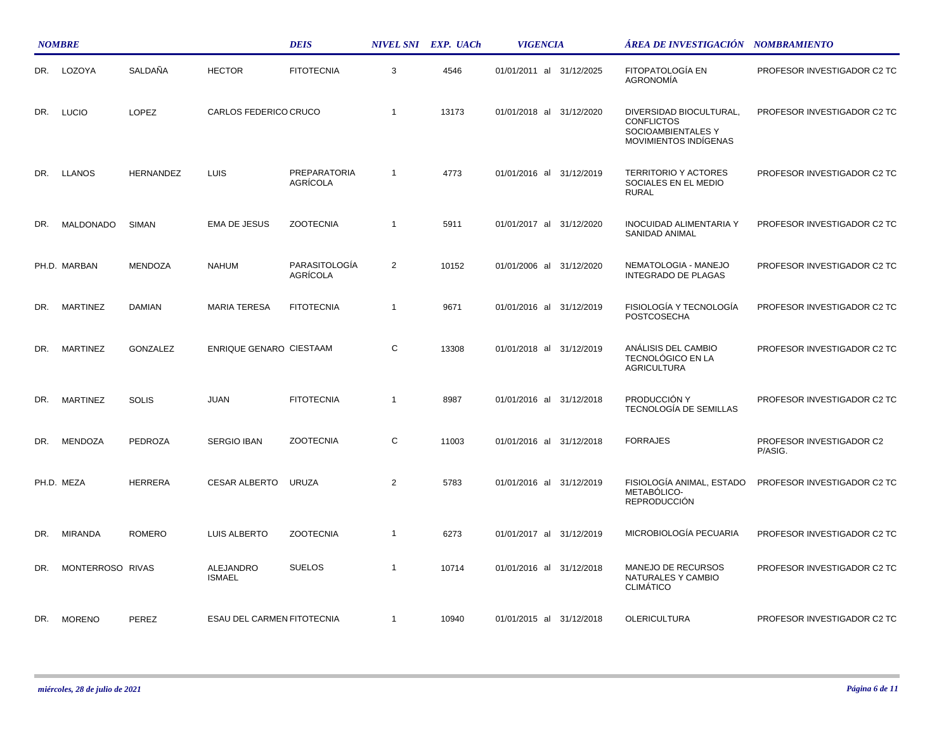|     | <b>NOMBRE</b>    |                  |                            | <b>DEIS</b>               |                | NIVEL SNI EXP. UACh | <b>VIGENCIA</b>          | ÁREA DE INVESTIGACIÓN – NOMBRAMIENTO                                                        |                                     |
|-----|------------------|------------------|----------------------------|---------------------------|----------------|---------------------|--------------------------|---------------------------------------------------------------------------------------------|-------------------------------------|
| DR. | LOZOYA           | SALDAÑA          | <b>HECTOR</b>              | <b>FITOTECNIA</b>         | 3              | 4546                | 01/01/2011 al 31/12/2025 | FITOPATOLOGÍA EN<br><b>AGRONOMIA</b>                                                        | PROFESOR INVESTIGADOR C2 TC         |
| DR. | <b>LUCIO</b>     | LOPEZ            | CARLOS FEDERICO CRUCO      |                           | $\overline{1}$ | 13173               | 01/01/2018 al 31/12/2020 | DIVERSIDAD BIOCULTURAL,<br><b>CONFLICTOS</b><br>SOCIOAMBIENTALES Y<br>MOVIMIENTOS INDÍGENAS | PROFESOR INVESTIGADOR C2 TC         |
|     | DR. LLANOS       | <b>HERNANDEZ</b> | LUIS                       | PREPARATORIA<br>AGRÍCOLA  | $\overline{1}$ | 4773                | 01/01/2016 al 31/12/2019 | <b>TERRITORIO Y ACTORES</b><br>SOCIALES EN EL MEDIO<br><b>RURAL</b>                         | PROFESOR INVESTIGADOR C2 TC         |
| DR. | <b>MALDONADO</b> | SIMAN            | EMA DE JESUS               | <b>ZOOTECNIA</b>          | $\overline{1}$ | 5911                | 01/01/2017 al 31/12/2020 | <b>INOCUIDAD ALIMENTARIA Y</b><br>SANIDAD ANIMAL                                            | PROFESOR INVESTIGADOR C2 TC         |
|     | PH.D. MARBAN     | <b>MENDOZA</b>   | <b>NAHUM</b>               | PARASITOLOGÍA<br>AGRÍCOLA | $\overline{2}$ | 10152               | 01/01/2006 al 31/12/2020 | NEMATOLOGIA - MANEJO<br><b>INTEGRADO DE PLAGAS</b>                                          | PROFESOR INVESTIGADOR C2 TC         |
| DR. | <b>MARTINEZ</b>  | <b>DAMIAN</b>    | <b>MARIA TERESA</b>        | <b>FITOTECNIA</b>         | $\overline{1}$ | 9671                | 01/01/2016 al 31/12/2019 | FISIOLOGÍA Y TECNOLOGÍA<br><b>POSTCOSECHA</b>                                               | PROFESOR INVESTIGADOR C2 TC         |
| DR. | <b>MARTINEZ</b>  | GONZALEZ         | ENRIQUE GENARO CIESTAAM    |                           | С              | 13308               | 01/01/2018 al 31/12/2019 | ANÁLISIS DEL CAMBIO<br>TECNOLÓGICO EN LA<br><b>AGRICULTURA</b>                              | PROFESOR INVESTIGADOR C2 TC         |
| DR. | <b>MARTINEZ</b>  | <b>SOLIS</b>     | JUAN                       | <b>FITOTECNIA</b>         | $\overline{1}$ | 8987                | 01/01/2016 al 31/12/2018 | PRODUCCIÓN Y<br>TECNOLOGÍA DE SEMILLAS                                                      | PROFESOR INVESTIGADOR C2 TC         |
| DR. | MENDOZA          | <b>PEDROZA</b>   | <b>SERGIO IBAN</b>         | <b>ZOOTECNIA</b>          | C              | 11003               | 01/01/2016 al 31/12/2018 | <b>FORRAJES</b>                                                                             | PROFESOR INVESTIGADOR C2<br>P/ASIG. |
|     | PH.D. MEZA       | <b>HERRERA</b>   | CESAR ALBERTO URUZA        |                           | 2              | 5783                | 01/01/2016 al 31/12/2019 | FISIOLOGÍA ANIMAL, ESTADO<br>METABÓLICO-<br><b>REPRODUCCIÓN</b>                             | PROFESOR INVESTIGADOR C2 TC         |
| DR. | <b>MIRANDA</b>   | ROMERO           | LUIS ALBERTO               | <b>ZOOTECNIA</b>          | $\overline{1}$ | 6273                | 01/01/2017 al 31/12/2019 | MICROBIOLOGÍA PECUARIA                                                                      | PROFESOR INVESTIGADOR C2 TC         |
| DR. | MONTERROSO RIVAS |                  | ALEJANDRO<br><b>ISMAEL</b> | <b>SUELOS</b>             | $\overline{1}$ | 10714               | 01/01/2016 al 31/12/2018 | MANEJO DE RECURSOS<br>NATURALES Y CAMBIO<br><b>CLIMATICO</b>                                | PROFESOR INVESTIGADOR C2 TC         |
|     | DR. MORENO       | PEREZ            | ESAU DEL CARMEN FITOTECNIA |                           | $\overline{1}$ | 10940               | 01/01/2015 al 31/12/2018 | <b>OLERICULTURA</b>                                                                         | PROFESOR INVESTIGADOR C2 TC         |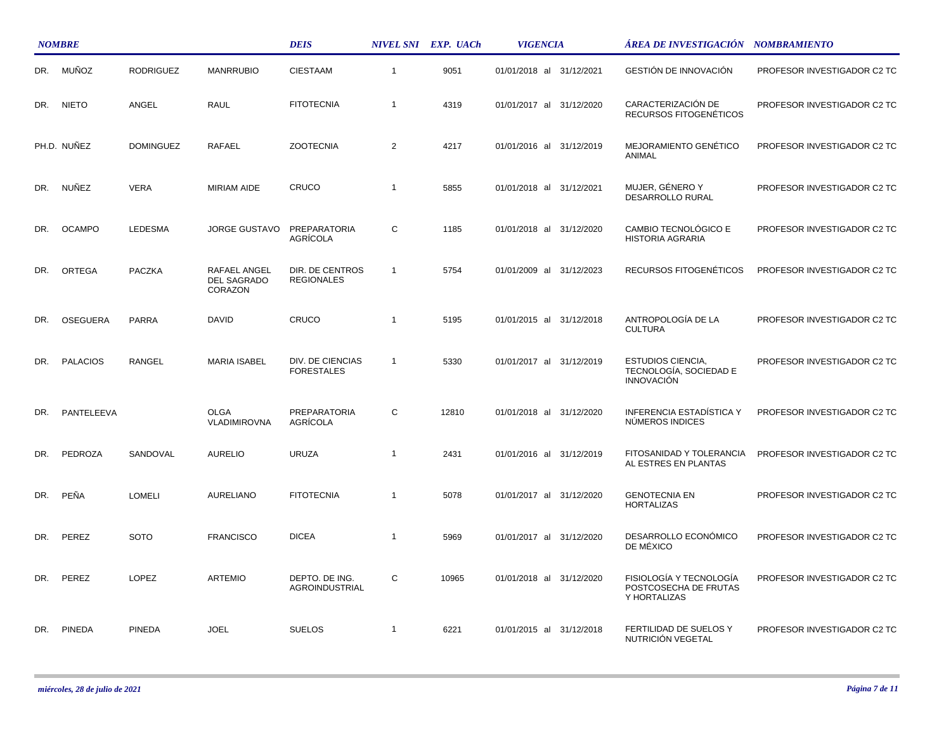|     | <b>NOMBRE</b>   |                  |                                        | <b>DEIS</b>                             |                | NIVEL SNI EXP. UACh | <b>VIGENCIA</b>          | ÁREA DE INVESTIGACIÓN    NOMBRAMIENTO                                   |                             |
|-----|-----------------|------------------|----------------------------------------|-----------------------------------------|----------------|---------------------|--------------------------|-------------------------------------------------------------------------|-----------------------------|
| DR. | MUÑOZ           | <b>RODRIGUEZ</b> | <b>MANRRUBIO</b>                       | <b>CIESTAAM</b>                         | $\overline{1}$ | 9051                | 01/01/2018 al 31/12/2021 | <b>GESTIÓN DE INNOVACIÓN</b>                                            | PROFESOR INVESTIGADOR C2 TC |
| DR. | <b>NIETO</b>    | ANGEL            | <b>RAUL</b>                            | <b>FITOTECNIA</b>                       | $\overline{1}$ | 4319                | 01/01/2017 al 31/12/2020 | CARACTERIZACIÓN DE<br>RECURSOS FITOGENÉTICOS                            | PROFESOR INVESTIGADOR C2 TC |
|     | PH.D. NUNEZ     | <b>DOMINGUEZ</b> | RAFAEL                                 | <b>ZOOTECNIA</b>                        | $\overline{2}$ | 4217                | 01/01/2016 al 31/12/2019 | MEJORAMIENTO GENÉTICO<br>ANIMAL                                         | PROFESOR INVESTIGADOR C2 TC |
| DR. | NUÑEZ           | <b>VERA</b>      | <b>MIRIAM AIDE</b>                     | CRUCO                                   | $\overline{1}$ | 5855                | 01/01/2018 al 31/12/2021 | MUJER, GÉNERO Y<br>DESARROLLO RURAL                                     | PROFESOR INVESTIGADOR C2 TC |
| DR. | <b>OCAMPO</b>   | <b>LEDESMA</b>   | <b>JORGE GUSTAVO</b>                   | PREPARATORIA<br><b>AGRÍCOLA</b>         | C              | 1185                | 01/01/2018 al 31/12/2020 | CAMBIO TECNOLÓGICO E<br><b>HISTORIA AGRARIA</b>                         | PROFESOR INVESTIGADOR C2 TC |
| DR. | ORTEGA          | PACZKA           | RAFAEL ANGEL<br>DEL SAGRADO<br>CORAZON | DIR. DE CENTROS<br><b>REGIONALES</b>    | $\overline{1}$ | 5754                | 01/01/2009 al 31/12/2023 | RECURSOS FITOGENÉTICOS                                                  | PROFESOR INVESTIGADOR C2 TC |
| DR. | <b>OSEGUERA</b> | <b>PARRA</b>     | DAVID                                  | CRUCO                                   | $\overline{1}$ | 5195                | 01/01/2015 al 31/12/2018 | ANTROPOLOGÍA DE LA<br><b>CULTURA</b>                                    | PROFESOR INVESTIGADOR C2 TC |
| DR. | <b>PALACIOS</b> | <b>RANGEL</b>    | <b>MARIA ISABEL</b>                    | DIV. DE CIENCIAS<br><b>FORESTALES</b>   | $\overline{1}$ | 5330                | 01/01/2017 al 31/12/2019 | <b>ESTUDIOS CIENCIA,</b><br>TECNOLOGÍA, SOCIEDAD E<br><b>INNOVACIÓN</b> | PROFESOR INVESTIGADOR C2 TC |
| DR. | PANTELEEVA      |                  | <b>OLGA</b><br>VLADIMIROVNA            | <b>PREPARATORIA</b><br>AGRÍCOLA         | С              | 12810               | 01/01/2018 al 31/12/2020 | <b>INFERENCIA ESTADÍSTICA Y</b><br>NÚMEROS INDICES                      | PROFESOR INVESTIGADOR C2 TC |
| DR. | PEDROZA         | SANDOVAL         | <b>AURELIO</b>                         | <b>URUZA</b>                            | $\overline{1}$ | 2431                | 01/01/2016 al 31/12/2019 | FITOSANIDAD Y TOLERANCIA<br>AL ESTRES EN PLANTAS                        | PROFESOR INVESTIGADOR C2 TC |
| DR. | PEÑA            | <b>LOMELI</b>    | <b>AURELIANO</b>                       | <b>FITOTECNIA</b>                       | $\overline{1}$ | 5078                | 01/01/2017 al 31/12/2020 | <b>GENOTECNIA EN</b><br><b>HORTALIZAS</b>                               | PROFESOR INVESTIGADOR C2 TC |
| DR. | PEREZ           | <b>SOTO</b>      | <b>FRANCISCO</b>                       | <b>DICEA</b>                            | $\overline{1}$ | 5969                | 01/01/2017 al 31/12/2020 | DESARROLLO ECONÓMICO<br>DE MÉXICO                                       | PROFESOR INVESTIGADOR C2 TC |
| DR. | PEREZ           | <b>LOPEZ</b>     | <b>ARTEMIO</b>                         | DEPTO. DE ING.<br><b>AGROINDUSTRIAL</b> | C              | 10965               | 01/01/2018 al 31/12/2020 | FISIOLOGÍA Y TECNOLOGÍA<br>POSTCOSECHA DE FRUTAS<br>Y HORTALIZAS        | PROFESOR INVESTIGADOR C2 TC |
| DR. | <b>PINEDA</b>   | <b>PINEDA</b>    | <b>JOEL</b>                            | <b>SUELOS</b>                           | $\overline{1}$ | 6221                | 01/01/2015 al 31/12/2018 | FERTILIDAD DE SUELOS Y<br>NUTRICIÓN VEGETAL                             | PROFESOR INVESTIGADOR C2 TC |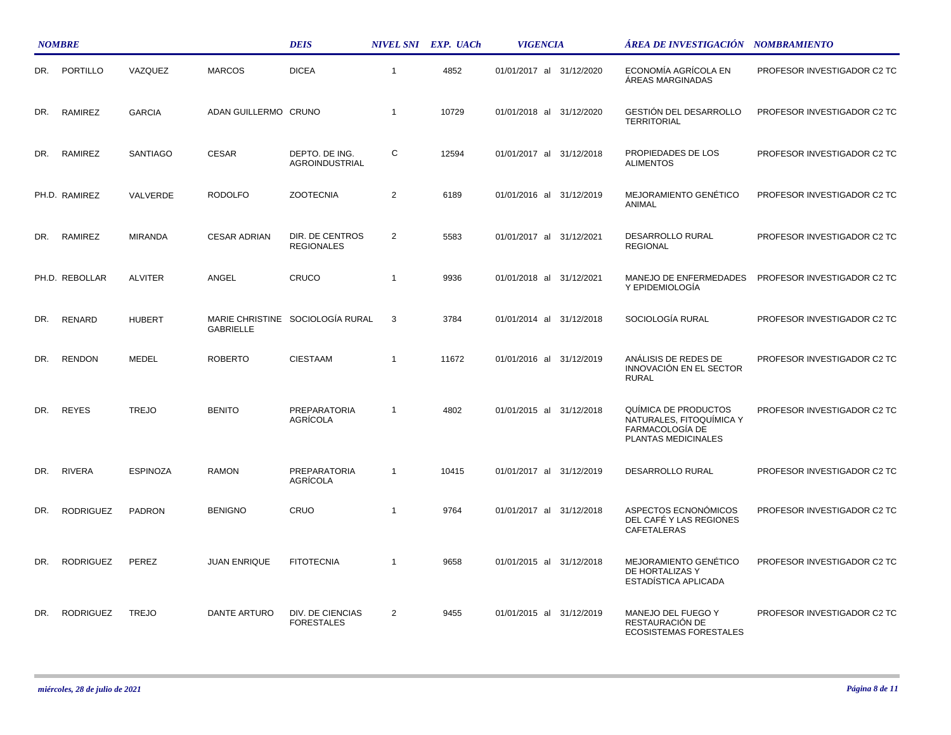|     | <b>NOMBRE</b>    |                 |                      | <b>DEIS</b>                           |                | NIVEL SNI EXP. UACh | <b>VIGENCIA</b>          | ÁREA DE INVESTIGACIÓN NOMBRAMIENTO                                                         |                             |
|-----|------------------|-----------------|----------------------|---------------------------------------|----------------|---------------------|--------------------------|--------------------------------------------------------------------------------------------|-----------------------------|
| DR. | PORTILLO         | VAZQUEZ         | <b>MARCOS</b>        | <b>DICEA</b>                          | $\overline{1}$ | 4852                | 01/01/2017 al 31/12/2020 | ECONOMÍA AGRÍCOLA EN<br><b>ÁREAS MARGINADAS</b>                                            | PROFESOR INVESTIGADOR C2 TC |
| DR. | RAMIREZ          | <b>GARCIA</b>   | ADAN GUILLERMO CRUNO |                                       | $\overline{1}$ | 10729               | 01/01/2018 al 31/12/2020 | <b>GESTIÓN DEL DESARROLLO</b><br><b>TERRITORIAL</b>                                        | PROFESOR INVESTIGADOR C2 TC |
| DR. | RAMIREZ          | SANTIAGO        | <b>CESAR</b>         | DEPTO. DE ING.<br>AGROINDUSTRIAL      | C              | 12594               | 01/01/2017 al 31/12/2018 | PROPIEDADES DE LOS<br><b>ALIMENTOS</b>                                                     | PROFESOR INVESTIGADOR C2 TC |
|     | PH.D. RAMIREZ    | VALVERDE        | <b>RODOLFO</b>       | <b>ZOOTECNIA</b>                      | $\overline{2}$ | 6189                | 01/01/2016 al 31/12/2019 | MEJORAMIENTO GENÉTICO<br>ANIMAL                                                            | PROFESOR INVESTIGADOR C2 TC |
| DR. | RAMIREZ          | <b>MIRANDA</b>  | <b>CESAR ADRIAN</b>  | DIR. DE CENTROS<br><b>REGIONALES</b>  | $\overline{2}$ | 5583                | 01/01/2017 al 31/12/2021 | DESARROLLO RURAL<br><b>REGIONAL</b>                                                        | PROFESOR INVESTIGADOR C2 TC |
|     | PH.D. REBOLLAR   | <b>ALVITER</b>  | ANGEL                | CRUCO                                 | $\overline{1}$ | 9936                | 01/01/2018 al 31/12/2021 | MANEJO DE ENFERMEDADES<br>Y EPIDEMIOLOGÍA                                                  | PROFESOR INVESTIGADOR C2 TC |
| DR. | RENARD           | <b>HUBERT</b>   | <b>GABRIELLE</b>     | MARIE CHRISTINE SOCIOLOGÍA RURAL      | 3              | 3784                | 01/01/2014 al 31/12/2018 | SOCIOLOGÍA RURAL                                                                           | PROFESOR INVESTIGADOR C2 TC |
| DR. | <b>RENDON</b>    | <b>MEDEL</b>    | <b>ROBERTO</b>       | <b>CIESTAAM</b>                       | $\overline{1}$ | 11672               | 01/01/2016 al 31/12/2019 | ANÁLISIS DE REDES DE<br>INNOVACIÓN EN EL SECTOR<br><b>RURAL</b>                            | PROFESOR INVESTIGADOR C2 TC |
| DR. | <b>REYES</b>     | <b>TREJO</b>    | <b>BENITO</b>        | PREPARATORIA<br>AGRÍCOLA              | $\overline{1}$ | 4802                | 01/01/2015 al 31/12/2018 | QUÍMICA DE PRODUCTOS<br>NATURALES, FITOQUÍMICA Y<br>FARMACOLOGÍA DE<br>PLANTAS MEDICINALES | PROFESOR INVESTIGADOR C2 TC |
| DR. | <b>RIVERA</b>    | <b>ESPINOZA</b> | <b>RAMON</b>         | PREPARATORIA<br>AGRÍCOLA              | $\overline{1}$ | 10415               | 01/01/2017 al 31/12/2019 | <b>DESARROLLO RURAL</b>                                                                    | PROFESOR INVESTIGADOR C2 TC |
| DR. | <b>RODRIGUEZ</b> | <b>PADRON</b>   | <b>BENIGNO</b>       | CRUO                                  | $\overline{1}$ | 9764                | 01/01/2017 al 31/12/2018 | ASPECTOS ECNONÓMICOS<br>DEL CAFÉ Y LAS REGIONES<br>CAFETALERAS                             | PROFESOR INVESTIGADOR C2 TC |
| DR. | <b>RODRIGUEZ</b> | PEREZ           | <b>JUAN ENRIQUE</b>  | <b>FITOTECNIA</b>                     | $\overline{1}$ | 9658                | 01/01/2015 al 31/12/2018 | MEJORAMIENTO GENÉTICO<br>DE HORTALIZAS Y<br>ESTADÍSTICA APLICADA                           | PROFESOR INVESTIGADOR C2 TC |
| DR. | <b>RODRIGUEZ</b> | <b>TREJO</b>    | <b>DANTE ARTURO</b>  | DIV. DE CIENCIAS<br><b>FORESTALES</b> | $\overline{2}$ | 9455                | 01/01/2015 al 31/12/2019 | MANEJO DEL FUEGO Y<br>RESTAURACIÓN DE<br><b>ECOSISTEMAS FORESTALES</b>                     | PROFESOR INVESTIGADOR C2 TC |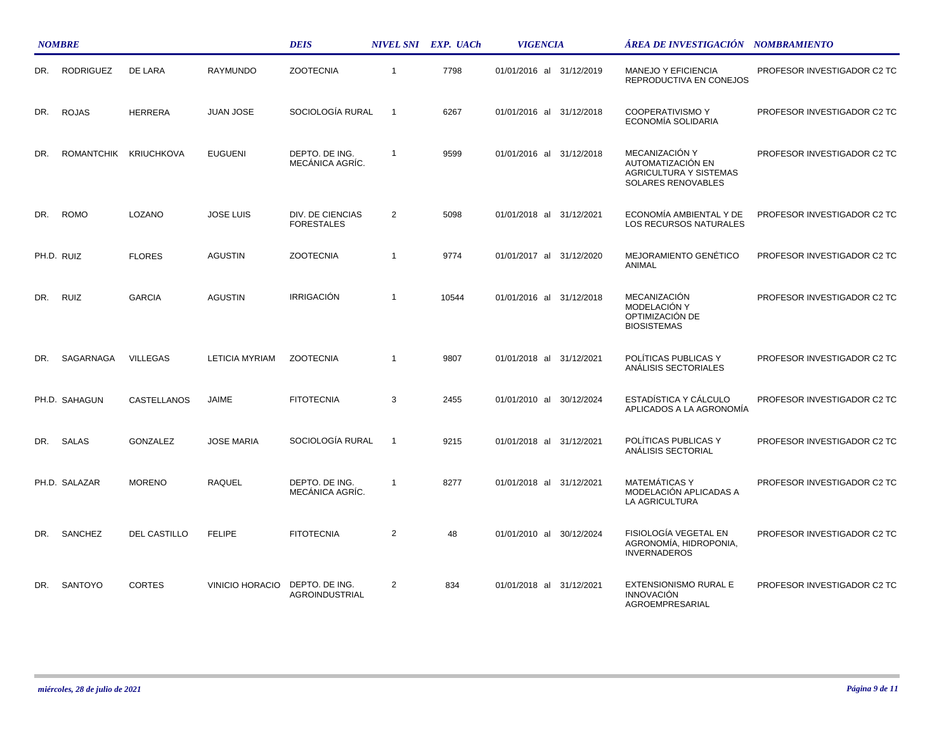|     | <b>NOMBRE</b>    |                       |                        | <b>DEIS</b>                           |                | NIVEL SNI EXP. UACh | <b>VIGENCIA</b>          | ÁREA DE INVESTIGACIÓN NOMBRAMIENTO                                                         |                             |  |
|-----|------------------|-----------------------|------------------------|---------------------------------------|----------------|---------------------|--------------------------|--------------------------------------------------------------------------------------------|-----------------------------|--|
| DR. | <b>RODRIGUEZ</b> | <b>DE LARA</b>        | RAYMUNDO               | <b>ZOOTECNIA</b>                      | $\overline{1}$ | 7798                | 01/01/2016 al 31/12/2019 | <b>MANEJO Y EFICIENCIA</b><br>REPRODUCTIVA EN CONEJOS                                      | PROFESOR INVESTIGADOR C2 TC |  |
| DR. | <b>ROJAS</b>     | <b>HERRERA</b>        | <b>JUAN JOSE</b>       | SOCIOLOGÍA RURAL                      | $\overline{1}$ | 6267                | 01/01/2016 al 31/12/2018 | <b>COOPERATIVISMO Y</b><br>ECONOMIA SOLIDARIA                                              | PROFESOR INVESTIGADOR C2 TC |  |
| DR. |                  | ROMANTCHIK KRIUCHKOVA | <b>EUGUENI</b>         | DEPTO. DE ING.<br>MECÁNICA AGRÍC.     | $\overline{1}$ | 9599                | 01/01/2016 al 31/12/2018 | MECANIZACIÓN Y<br>AUTOMATIZACIÓN EN<br><b>AGRICULTURA Y SISTEMAS</b><br>SOLARES RENOVABLES | PROFESOR INVESTIGADOR C2 TC |  |
| DR. | <b>ROMO</b>      | LOZANO                | <b>JOSE LUIS</b>       | DIV. DE CIENCIAS<br><b>FORESTALES</b> | 2              | 5098                | 01/01/2018 al 31/12/2021 | ECONOMÍA AMBIENTAL Y DE<br><b>LOS RECURSOS NATURALES</b>                                   | PROFESOR INVESTIGADOR C2 TC |  |
|     | PH.D. RUIZ       | <b>FLORES</b>         | <b>AGUSTIN</b>         | <b>ZOOTECNIA</b>                      | $\overline{1}$ | 9774                | 01/01/2017 al 31/12/2020 | MEJORAMIENTO GENÉTICO<br>ANIMAL                                                            | PROFESOR INVESTIGADOR C2 TC |  |
| DR. | <b>RUIZ</b>      | <b>GARCIA</b>         | <b>AGUSTIN</b>         | IRRIGACIÓN                            | $\overline{1}$ | 10544               | 01/01/2016 al 31/12/2018 | MECANIZACIÓN<br>MODELACIÓN Y<br>OPTIMIZACIÓN DE<br><b>BIOSISTEMAS</b>                      | PROFESOR INVESTIGADOR C2 TC |  |
| DR. | SAGARNAGA        | <b>VILLEGAS</b>       | <b>LETICIA MYRIAM</b>  | <b>ZOOTECNIA</b>                      | $\overline{1}$ | 9807                | 01/01/2018 al 31/12/2021 | POLÍTICAS PUBLICAS Y<br>ANÁLISIS SECTORIALES                                               | PROFESOR INVESTIGADOR C2 TC |  |
|     | PH.D. SAHAGUN    | CASTELLANOS           | <b>JAIME</b>           | <b>FITOTECNIA</b>                     | 3              | 2455                | 01/01/2010 al 30/12/2024 | ESTADÍSTICA Y CÁLCULO<br>APLICADOS A LA AGRONOMÍA                                          | PROFESOR INVESTIGADOR C2 TC |  |
| DR. | SALAS            | <b>GONZALEZ</b>       | <b>JOSE MARIA</b>      | SOCIOLOGÍA RURAL                      | -1             | 9215                | 01/01/2018 al 31/12/2021 | POLÍTICAS PUBLICAS Y<br>ANÁLISIS SECTORIAL                                                 | PROFESOR INVESTIGADOR C2 TC |  |
|     | PH.D. SALAZAR    | <b>MORENO</b>         | <b>RAQUEL</b>          | DEPTO. DE ING.<br>MECÁNICA AGRÍC.     | $\overline{1}$ | 8277                | 01/01/2018 al 31/12/2021 | <b>MATEMÁTICAS Y</b><br>MODELACIÓN APLICADAS A<br>LA AGRICULTURA                           | PROFESOR INVESTIGADOR C2 TC |  |
| DR. | SANCHEZ          | DEL CASTILLO          | <b>FELIPE</b>          | <b>FITOTECNIA</b>                     | $\overline{2}$ | 48                  | 01/01/2010 al 30/12/2024 | FISIOLOGÍA VEGETAL EN<br>AGRONOMÍA, HIDROPONIA,<br><b>INVERNADEROS</b>                     | PROFESOR INVESTIGADOR C2 TC |  |
| DR. | <b>SANTOYO</b>   | <b>CORTES</b>         | <b>VINICIO HORACIO</b> | DEPTO. DE ING.<br>AGROINDUSTRIAL      | $\overline{2}$ | 834                 | 01/01/2018 al 31/12/2021 | EXTENSIONISMO RURAL E<br><b>INNOVACIÓN</b><br>AGROEMPRESARIAL                              | PROFESOR INVESTIGADOR C2 TC |  |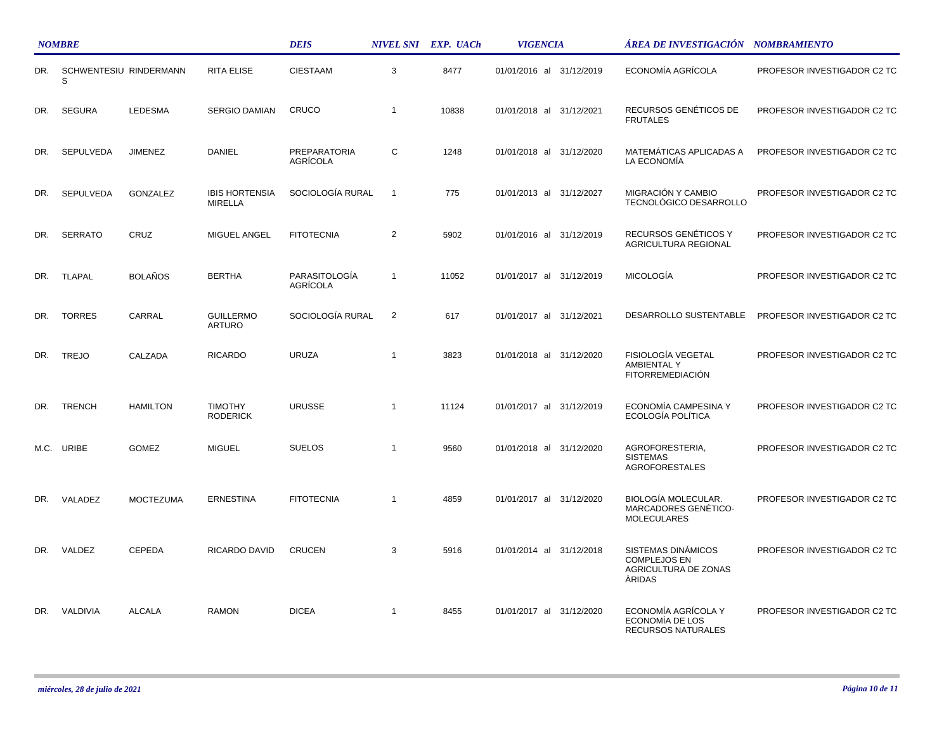|      | <b>NOMBRE</b>               |                  |                                         | <b>DEIS</b>                     |                | NIVEL SNI EXP. UACh | <b>VIGENCIA</b>             | ÁREA DE INVESTIGACIÓN NOMBRAMIENTO                                                 |                             |
|------|-----------------------------|------------------|-----------------------------------------|---------------------------------|----------------|---------------------|-----------------------------|------------------------------------------------------------------------------------|-----------------------------|
| DR.  | SCHWENTESIU RINDERMANN<br>S |                  | <b>RITA ELISE</b>                       | <b>CIESTAAM</b>                 | 3              | 8477                | 01/01/2016 al 31/12/2019    | ECONOMÍA AGRÍCOLA                                                                  | PROFESOR INVESTIGADOR C2 TC |
| DR.  | <b>SEGURA</b>               | <b>LEDESMA</b>   | <b>SERGIO DAMIAN</b>                    | CRUCO                           | $\mathbf{1}$   | 10838               | 01/01/2018 al 31/12/2021    | RECURSOS GENÉTICOS DE<br><b>FRUTALES</b>                                           | PROFESOR INVESTIGADOR C2 TC |
| DR.  | <b>SEPULVEDA</b>            | <b>JIMENEZ</b>   | <b>DANIEL</b>                           | <b>PREPARATORIA</b><br>AGRÍCOLA | C              | 1248                | 01/01/2018 al 31/12/2020    | MATEMÁTICAS APLICADAS A<br>LA ECONOMÍA                                             | PROFESOR INVESTIGADOR C2 TC |
| DR.  | <b>SEPULVEDA</b>            | GONZALEZ         | <b>IBIS HORTENSIA</b><br><b>MIRELLA</b> | SOCIOLOGÍA RURAL                | $\overline{1}$ | 775                 | 01/01/2013 al 31/12/2027    | MIGRACIÓN Y CAMBIO<br>TECNOLÓGICO DESARROLLO                                       | PROFESOR INVESTIGADOR C2 TC |
| DR.  | <b>SERRATO</b>              | CRUZ             | MIGUEL ANGEL                            | <b>FITOTECNIA</b>               | 2              | 5902                | 01/01/2016 al 31/12/2019    | RECURSOS GENÉTICOS Y<br>AGRICULTURA REGIONAL                                       | PROFESOR INVESTIGADOR C2 TC |
| DR.  | <b>TLAPAL</b>               | <b>BOLAÑOS</b>   | <b>BERTHA</b>                           | PARASITOLOGÍA<br>AGRÍCOLA       | $\mathbf{1}$   | 11052               | 01/01/2017 al 31/12/2019    | <b>MICOLOGÍA</b>                                                                   | PROFESOR INVESTIGADOR C2 TC |
| DR.  | <b>TORRES</b>               | CARRAL           | <b>GUILLERMO</b><br>ARTURO              | SOCIOLOGÍA RURAL                | $\overline{2}$ | 617                 | 01/01/2017 al 31/12/2021    | DESARROLLO SUSTENTABLE                                                             | PROFESOR INVESTIGADOR C2 TC |
| DR.  | <b>TREJO</b>                | CALZADA          | <b>RICARDO</b>                          | <b>URUZA</b>                    | $\mathbf{1}$   | 3823                | 01/01/2018 al<br>31/12/2020 | FISIOLOGÍA VEGETAL<br>AMBIENTAL Y<br><b>FITORREMEDIACIÓN</b>                       | PROFESOR INVESTIGADOR C2 TC |
| DR.  | <b>TRENCH</b>               | <b>HAMILTON</b>  | <b>TIMOTHY</b><br><b>RODERICK</b>       | <b>URUSSE</b>                   | $\mathbf{1}$   | 11124               | 01/01/2017 al 31/12/2019    | ECONOMÍA CAMPESINA Y<br>ECOLOGÍA POLÍTICA                                          | PROFESOR INVESTIGADOR C2 TC |
| M.C. | URIBE                       | <b>GOMEZ</b>     | <b>MIGUEL</b>                           | <b>SUELOS</b>                   | $\overline{1}$ | 9560                | 01/01/2018 al 31/12/2020    | AGROFORESTERIA,<br><b>SISTEMAS</b><br><b>AGROFORESTALES</b>                        | PROFESOR INVESTIGADOR C2 TC |
| DR.  | VALADEZ                     | <b>MOCTEZUMA</b> | <b>ERNESTINA</b>                        | <b>FITOTECNIA</b>               | $\mathbf{1}$   | 4859                | 01/01/2017 al 31/12/2020    | <b>BIOLOGÍA MOLECULAR.</b><br>MARCADORES GENÉTICO-<br><b>MOLECULARES</b>           | PROFESOR INVESTIGADOR C2 TC |
| DR.  | VALDEZ                      | CEPEDA           | RICARDO DAVID                           | <b>CRUCEN</b>                   | 3              | 5916                | 01/01/2014 al 31/12/2018    | SISTEMAS DINÁMICOS<br><b>COMPLEJOS EN</b><br>AGRICULTURA DE ZONAS<br><b>ARIDAS</b> | PROFESOR INVESTIGADOR C2 TC |
| DR.  | VALDIVIA                    | <b>ALCALA</b>    | <b>RAMON</b>                            | <b>DICEA</b>                    | $\mathbf{1}$   | 8455                | 01/01/2017 al 31/12/2020    | ECONOMÍA AGRÍCOLA Y<br>ECONOMÍA DE LOS<br>RECURSOS NATURALES                       | PROFESOR INVESTIGADOR C2 TC |